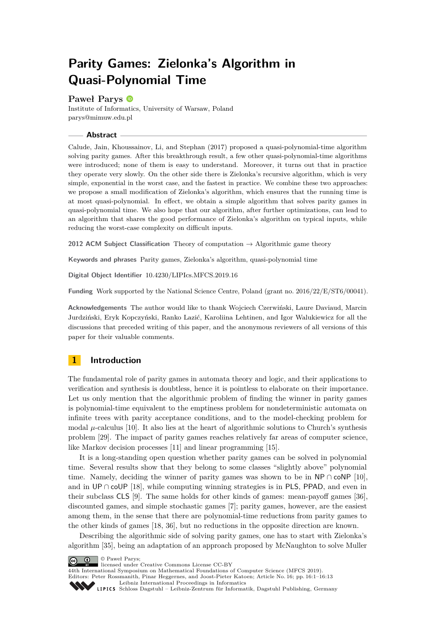# **Parity Games: Zielonka's Algorithm in Quasi-Polynomial Time**

## **Paweł Parys**

Institute of Informatics, University of Warsaw, Poland [parys@mimuw.edu.pl](mailto:parys@mimuw.edu.pl)

## **Abstract**

Calude, Jain, Khoussainov, Li, and Stephan (2017) proposed a quasi-polynomial-time algorithm solving parity games. After this breakthrough result, a few other quasi-polynomial-time algorithms were introduced; none of them is easy to understand. Moreover, it turns out that in practice they operate very slowly. On the other side there is Zielonka's recursive algorithm, which is very simple, exponential in the worst case, and the fastest in practice. We combine these two approaches: we propose a small modification of Zielonka's algorithm, which ensures that the running time is at most quasi-polynomial. In effect, we obtain a simple algorithm that solves parity games in quasi-polynomial time. We also hope that our algorithm, after further optimizations, can lead to an algorithm that shares the good performance of Zielonka's algorithm on typical inputs, while reducing the worst-case complexity on difficult inputs.

**2012 ACM Subject Classification** Theory of computation → Algorithmic game theory

**Keywords and phrases** Parity games, Zielonka's algorithm, quasi-polynomial time

**Digital Object Identifier** [10.4230/LIPIcs.MFCS.2019.16](https://doi.org/10.4230/LIPIcs.MFCS.2019.16)

**Funding** Work supported by the National Science Centre, Poland (grant no. 2016/22/E/ST6/00041).

**Acknowledgements** The author would like to thank Wojciech Czerwiński, Laure Daviaud, Marcin Jurdziński, Eryk Kopczyński, Ranko Lazić, Karoliina Lehtinen, and Igor Walukiewicz for all the discussions that preceded writing of this paper, and the anonymous reviewers of all versions of this paper for their valuable comments.

# **1 Introduction**

The fundamental role of parity games in automata theory and logic, and their applications to verification and synthesis is doubtless, hence it is pointless to elaborate on their importance. Let us only mention that the algorithmic problem of finding the winner in parity games is polynomial-time equivalent to the emptiness problem for nondeterministic automata on infinite trees with parity acceptance conditions, and to the model-checking problem for modal  $\mu$ -calculus [\[10\]](#page-10-0). It also lies at the heart of algorithmic solutions to Church's synthesis problem [\[29\]](#page-11-0). The impact of parity games reaches relatively far areas of computer science, like Markov decision processes [\[11\]](#page-10-1) and linear programming [\[15\]](#page-10-2).

It is a long-standing open question whether parity games can be solved in polynomial time. Several results show that they belong to some classes "slightly above" polynomial time. Namely, deciding the winner of parity games was shown to be in NP ∩ coNP [\[10\]](#page-10-0), and in UP ∩ coUP [\[18\]](#page-11-1), while computing winning strategies is in PLS, PPAD, and even in their subclass CLS [\[9\]](#page-10-3). The same holds for other kinds of games: mean-payoff games [\[36\]](#page-12-0), discounted games, and simple stochastic games [\[7\]](#page-10-4); parity games, however, are the easiest among them, in the sense that there are polynomial-time reductions from parity games to the other kinds of games [\[18,](#page-11-1) [36\]](#page-12-0), but no reductions in the opposite direction are known.

Describing the algorithmic side of solving parity games, one has to start with Zielonka's algorithm [\[35\]](#page-12-1), being an adaptation of an approach proposed by McNaughton to solve Muller



licensed under Creative Commons License CC-BY

[Leibniz International Proceedings in Informatics](https://www.dagstuhl.de/lipics/)

[Schloss Dagstuhl – Leibniz-Zentrum für Informatik, Dagstuhl Publishing, Germany](https://www.dagstuhl.de)

<sup>44</sup>th International Symposium on Mathematical Foundations of Computer Science (MFCS 2019).

Editors: Peter Rossmanith, Pinar Heggernes, and Joost-Pieter Katoen; Article No. 16; pp. 16:1–16[:13](#page-12-2)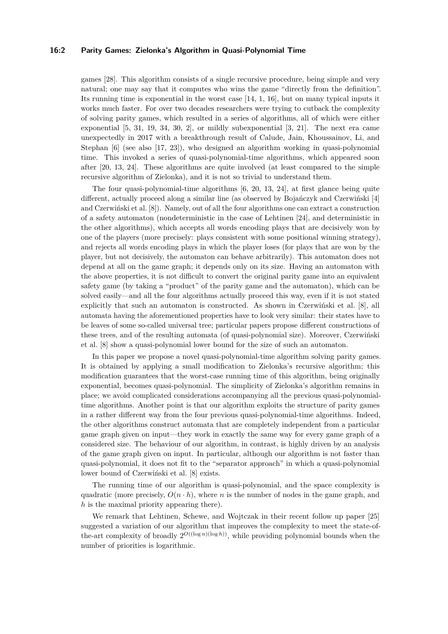#### **16:2 Parity Games: Zielonka's Algorithm in Quasi-Polynomial Time**

games [\[28\]](#page-11-2). This algorithm consists of a single recursive procedure, being simple and very natural; one may say that it computes who wins the game "directly from the definition". Its running time is exponential in the worst case [\[14,](#page-10-5) [1,](#page-9-0) [16\]](#page-11-3), but on many typical inputs it works much faster. For over two decades researchers were trying to cutback the complexity of solving parity games, which resulted in a series of algorithms, all of which were either exponential [\[5,](#page-10-6) [31,](#page-11-4) [19,](#page-11-5) [34,](#page-12-3) [30,](#page-11-6) [2\]](#page-10-7), or mildly subexponential [\[3,](#page-10-8) [21\]](#page-11-7). The next era came unexpectedly in 2017 with a breakthrough result of Calude, Jain, Khoussainov, Li, and Stephan [\[6\]](#page-10-9) (see also [\[17,](#page-11-8) [23\]](#page-11-9)), who designed an algorithm working in quasi-polynomial time. This invoked a series of quasi-polynomial-time algorithms, which appeared soon after [\[20,](#page-11-10) [13,](#page-10-10) [24\]](#page-11-11). These algorithms are quite involved (at least compared to the simple recursive algorithm of Zielonka), and it is not so trivial to understand them.

The four quasi-polynomial-time algorithms [\[6,](#page-10-9) [20,](#page-11-10) [13,](#page-10-10) [24\]](#page-11-11), at first glance being quite different, actually proceed along a similar line (as observed by Bojańczyk and Czerwiński [\[4\]](#page-10-11) and Czerwiński et al. [\[8\]](#page-10-12)). Namely, out of all the four algorithms one can extract a construction of a safety automaton (nondeterministic in the case of Lehtinen [\[24\]](#page-11-11), and deterministic in the other algorithms), which accepts all words encoding plays that are decisively won by one of the players (more precisely: plays consistent with some positional winning strategy), and rejects all words encoding plays in which the player loses (for plays that are won by the player, but not decisively, the automaton can behave arbitrarily). This automaton does not depend at all on the game graph; it depends only on its size. Having an automaton with the above properties, it is not difficult to convert the original parity game into an equivalent safety game (by taking a "product" of the parity game and the automaton), which can be solved easily—and all the four algorithms actually proceed this way, even if it is not stated explicitly that such an automaton is constructed. As shown in Czerwiński et al. [\[8\]](#page-10-12), all automata having the aforementioned properties have to look very similar: their states have to be leaves of some so-called universal tree; particular papers propose different constructions of these trees, and of the resulting automata (of quasi-polynomial size). Moreover, Czerwiński et al. [\[8\]](#page-10-12) show a quasi-polynomial lower bound for the size of such an automaton.

In this paper we propose a novel quasi-polynomial-time algorithm solving parity games. It is obtained by applying a small modification to Zielonka's recursive algorithm; this modification guarantees that the worst-case running time of this algorithm, being originally exponential, becomes quasi-polynomial. The simplicity of Zielonka's algorithm remains in place; we avoid complicated considerations accompanying all the previous quasi-polynomialtime algorithms. Another point is that our algorithm exploits the structure of parity games in a rather different way from the four previous quasi-polynomial-time algorithms. Indeed, the other algorithms construct automata that are completely independent from a particular game graph given on input—they work in exactly the same way for every game graph of a considered size. The behaviour of our algorithm, in contrast, is highly driven by an analysis of the game graph given on input. In particular, although our algorithm is not faster than quasi-polynomial, it does not fit to the "separator approach" in which a quasi-polynomial lower bound of Czerwiński et al. [\[8\]](#page-10-12) exists.

The running time of our algorithm is quasi-polynomial, and the space complexity is quadratic (more precisely,  $O(n \cdot h)$ , where *n* is the number of nodes in the game graph, and *h* is the maximal priority appearing there).

We remark that Lehtinen, Schewe, and Wojtczak in their recent follow up paper [\[25\]](#page-11-12) suggested a variation of our algorithm that improves the complexity to meet the state-ofthe-art complexity of broadly  $2^{O((\log n)(\log h))}$ , while providing polynomial bounds when the number of priorities is logarithmic.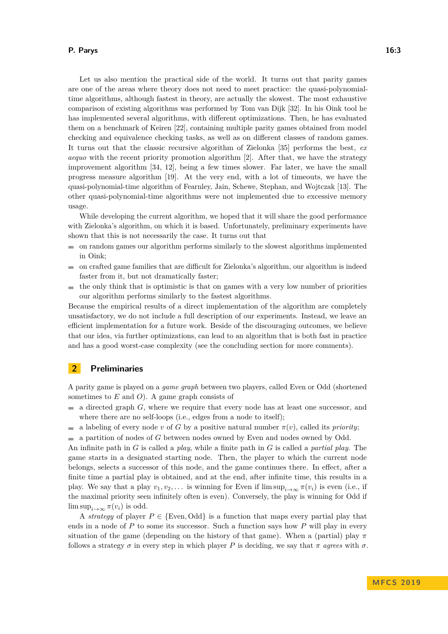#### **P. Parys 16:3**

Let us also mention the practical side of the world. It turns out that parity games are one of the areas where theory does not need to meet practice: the quasi-polynomialtime algorithms, although fastest in theory, are actually the slowest. The most exhaustive comparison of existing algorithms was performed by Tom van Dijk [\[32\]](#page-11-13). In his Oink tool he has implemented several algorithms, with different optimizations. Then, he has evaluated them on a benchmark of Keiren [\[22\]](#page-11-14), containing multiple parity games obtained from model checking and equivalence checking tasks, as well as on different classes of random games. It turns out that the classic recursive algorithm of Zielonka [\[35\]](#page-12-1) performs the best, *ex aequo* with the recent priority promotion algorithm [\[2\]](#page-10-7). After that, we have the strategy improvement algorithm [\[34,](#page-12-3) [12\]](#page-10-13), being a few times slower. Far later, we have the small progress measure algorithm [\[19\]](#page-11-5). At the very end, with a lot of timeouts, we have the quasi-polynomial-time algorithm of Fearnley, Jain, Schewe, Stephan, and Wojtczak [\[13\]](#page-10-10). The other quasi-polynomial-time algorithms were not implemented due to excessive memory usage.

While developing the current algorithm, we hoped that it will share the good performance with Zielonka's algorithm, on which it is based. Unfortunately, preliminary experiments have shown that this is not necessarily the case. It turns out that

- $\blacksquare$  on random games our algorithm performs similarly to the slowest algorithms implemented in Oink;
- on crafted game families that are difficult for Zielonka's algorithm, our algorithm is indeed  $\mathbf{r}$ faster from it, but not dramatically faster;
- the only think that is optimistic is that on games with a very low number of priorities  $\blacksquare$ our algorithm performs similarly to the fastest algorithms.

Because the empirical results of a direct implementation of the algorithm are completely unsatisfactory, we do not include a full description of our experiments. Instead, we leave an efficient implementation for a future work. Beside of the discouraging outcomes, we believe that our idea, via further optimizations, can lead to an algorithm that is both fast in practice and has a good worst-case complexity (see the concluding section for more comments).

## **2 Preliminaries**

A parity game is played on a *game graph* between two players, called Even or Odd (shortened sometimes to *E* and *O*). A game graph consists of

- a directed graph *G*, where we require that every node has at least one successor, and  $\overline{\phantom{a}}$ where there are no self-loops (i.e., edges from a node to itself);
- a labeling of every node *v* of *G* by a positive natural number  $\pi(v)$ , called its *priority*; m.
- a partition of nodes of *G* between nodes owned by Even and nodes owned by Odd.

An infinite path in *G* is called a *play*, while a finite path in *G* is called a *partial play*. The game starts in a designated starting node. Then, the player to which the current node belongs, selects a successor of this node, and the game continues there. In effect, after a finite time a partial play is obtained, and at the end, after infinite time, this results in a play. We say that a play  $v_1, v_2, \ldots$  is winning for Even if  $\limsup_{i\to\infty} \pi(v_i)$  is even (i.e., if the maximal priority seen infinitely often is even). Conversely, the play is winning for Odd if  $\limsup_{i\to\infty} \pi(v_i)$  is odd.

A *strategy* of player  $P \in \{Even, Odd\}$  is a function that maps every partial play that ends in a node of *P* to some its successor. Such a function says how *P* will play in every situation of the game (depending on the history of that game). When a (partial) play  $\pi$ follows a strategy  $\sigma$  in every step in which player P is deciding, we say that  $\pi$  *agrees* with  $\sigma$ .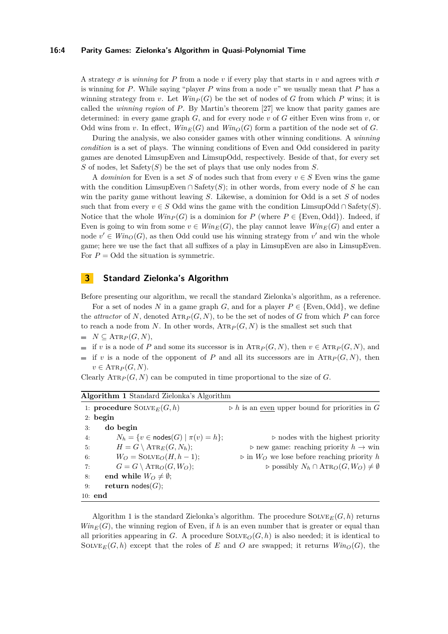#### **16:4 Parity Games: Zielonka's Algorithm in Quasi-Polynomial Time**

A strategy  $\sigma$  is *winning* for P from a node *v* if every play that starts in *v* and agrees with  $\sigma$ is winning for *P*. While saying "player *P* wins from a node *v*" we usually mean that *P* has a winning strategy from *v*. Let  $Win_P(G)$  be the set of nodes of *G* from which *P* wins; it is called the *winning region* of *P*. By Martin's theorem [\[27\]](#page-11-15) we know that parity games are determined: in every game graph *G*, and for every node *v* of *G* either Even wins from *v*, or Odd wins from *v*. In effect,  $Win_E(G)$  and  $Win_O(G)$  form a partition of the node set of *G*.

During the analysis, we also consider games with other winning conditions. A *winning condition* is a set of plays. The winning conditions of Even and Odd considered in parity games are denoted LimsupEven and LimsupOdd, respectively. Beside of that, for every set *S* of nodes, let Safety(*S*) be the set of plays that use only nodes from *S*.

A *dominion* for Even is a set *S* of nodes such that from every  $v \in S$  Even wins the game with the condition LimsupEven ∩ Safety $(S)$ ; in other words, from every node of *S* he can win the parity game without leaving *S*. Likewise, a dominion for Odd is a set *S* of nodes such that from every  $v \in S$  Odd wins the game with the condition LimsupOdd ∩ Safety(*S*). Notice that the whole  $Win_P(G)$  is a dominion for *P* (where  $P \in \{\text{Even}, \text{Odd}\}\)$ . Indeed, if Even is going to win from some  $v \in Win_E(G)$ , the play cannot leave  $Win_E(G)$  and enter a node  $v' \in Win_{O}(G)$ , as then Odd could use his winning strategy from  $v'$  and win the whole game; here we use the fact that all suffixes of a play in LimsupEven are also in LimsupEven. For  $P = \text{Odd the situation is symmetric.}$ 

## **3 Standard Zielonka's Algorithm**

Before presenting our algorithm, we recall the standard Zielonka's algorithm, as a reference.

For a set of nodes *N* in a game graph *G*, and for a player  $P \in \{Even, Odd\}$ , we define the *attractor* of N, denoted  $\text{ATR}_P(G, N)$ , to be the set of nodes of G from which P can force to reach a node from N. In other words,  $\text{ATR}_P(G, N)$  is the smallest set such that  $N \subseteq \text{ATR}_P(G, N),$ 

- $\equiv$ if *v* is a node of *P* and some its successor is in  $\text{ATR}_P(G, N)$ , then  $v \in \text{ATR}_P(G, N)$ , and
- if *v* is a node of the opponent of *P* and all its successors are in  $\text{ATR}_P(G, N)$ , then  $\overline{a}$  $v \in \text{ATR}_P(G, N)$ .

Clearly  $\text{ATR}_P(G, N)$  can be computed in time proportional to the size of *G*.

<span id="page-3-0"></span>

| Algorithm 1 Standard Zielonka's Algorithm                |                                                                      |  |  |  |
|----------------------------------------------------------|----------------------------------------------------------------------|--|--|--|
| 1: procedure $\text{SOLVE}_E(G, h)$                      | $\triangleright$ h is an <u>even</u> upper bound for priorities in G |  |  |  |
| $2:$ begin                                               |                                                                      |  |  |  |
| do begin<br>3:                                           |                                                                      |  |  |  |
| $N_h = \{v \in \text{nodes}(G) \mid \pi(v) = h\};$<br>4: | $\triangleright$ nodes with the highest priority                     |  |  |  |
| $H = G \setminus \text{ATR}_E(G, N_h);$<br>5:            | $\rhd$ new game: reaching priority $h \to \text{win}$                |  |  |  |
| $W_O = \text{SOLVE}_O(H, h-1);$<br>6:                    | $\triangleright$ in $W_O$ we lose before reaching priority h         |  |  |  |
| $G = G \setminus \text{ATR}_O(G, W_O);$<br>7:            | $\rhd$ possibly $N_h \cap \text{ATR}_O(G, W_O) \neq \emptyset$       |  |  |  |
| end while $W_O \neq \emptyset$ ;<br>8:                   |                                                                      |  |  |  |
| return $\text{nodes}(G);$<br>9:                          |                                                                      |  |  |  |
| $10:$ end                                                |                                                                      |  |  |  |

Algorithm [1](#page-3-0) is the standard Zielonka's algorithm. The procedure  $\text{SOLVE}_E(G, h)$  returns  $Win_E(G)$ , the winning region of Even, if *h* is an even number that is greater or equal than all priorities appearing in *G*. A procedure  $\text{SOLVE}_O(G, h)$  is also needed; it is identical to SOLVE<sub>E</sub>(*G, h*) except that the roles of *E* and *O* are swapped; it returns  $Win_{O}(G)$ , the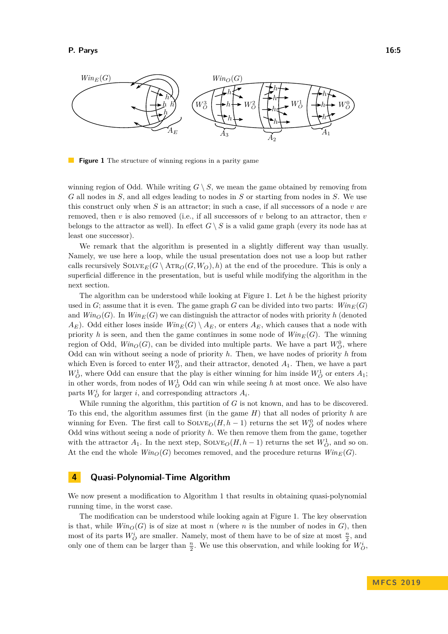<span id="page-4-0"></span>

**Figure 1** The structure of winning regions in a parity game

winning region of Odd. While writing  $G \setminus S$ , we mean the game obtained by removing from *G* all nodes in *S*, and all edges leading to nodes in *S* or starting from nodes in *S*. We use this construct only when *S* is an attractor; in such a case, if all successors of a node *v* are removed, then *v* is also removed (i.e., if all successors of *v* belong to an attractor, then *v* belongs to the attractor as well). In effect  $G \setminus S$  is a valid game graph (every its node has at least one successor).

We remark that the algorithm is presented in a slightly different way than usually. Namely, we use here a loop, while the usual presentation does not use a loop but rather calls recursively  $\text{SOLVE}_E(G \setminus \text{ATR}_O(G, W_O), h)$  at the end of the procedure. This is only a superficial difference in the presentation, but is useful while modifying the algorithm in the next section.

The algorithm can be understood while looking at Figure [1.](#page-4-0) Let *h* be the highest priority used in *G*; assume that it is even. The game graph *G* can be divided into two parts:  $Win_E(G)$ and  $Win_{\mathcal{O}}(G)$ . In  $Win_{\mathcal{E}}(G)$  we can distinguish the attractor of nodes with priority *h* (denoted  $A_E$ ). Odd either loses inside  $Win_E(G) \setminus A_E$ , or enters  $A_E$ , which causes that a node with priority *h* is seen, and then the game continues in some node of  $Win_E(G)$ . The winning region of Odd,  $Win_{O}(G)$ , can be divided into multiple parts. We have a part  $W_O^0$ , where Odd can win without seeing a node of priority *h*. Then, we have nodes of priority *h* from which Even is forced to enter  $W_O^0$ , and their attractor, denoted  $A_1$ . Then, we have a part  $W_O^1$ , where Odd can ensure that the play is either winning for him inside  $W_O^1$  or enters  $A_1$ ; in other words, from nodes of  $W_O^1$  Odd can win while seeing *h* at most once. We also have parts  $W_O^i$  for larger *i*, and corresponding attractors  $A_i$ .

While running the algorithm, this partition of *G* is not known, and has to be discovered. To this end, the algorithm assumes first (in the game *H*) that all nodes of priority *h* are winning for Even. The first call to  $\text{SOLVE}_O(H, h-1)$  returns the set  $W_O^0$  of nodes where Odd wins without seeing a node of priority *h*. We then remove them from the game, together with the attractor  $A_1$ . In the next step,  $\text{SOLVE}_O(H, h-1)$  returns the set  $W_O^1$ , and so on. At the end the whole  $Win_{O}(G)$  becomes removed, and the procedure returns  $Win_{E}(G)$ .

## **4 Quasi-Polynomial-Time Algorithm**

We now present a modification to Algorithm [1](#page-3-0) that results in obtaining quasi-polynomial running time, in the worst case.

The modification can be understood while looking again at Figure [1.](#page-4-0) The key observation is that, while  $Win_0(G)$  is of size at most *n* (where *n* is the number of nodes in *G*), then most of its parts  $W_O^i$  are smaller. Namely, most of them have to be of size at most  $\frac{n}{2}$ , and only one of them can be larger than  $\frac{n}{2}$ . We use this observation, and while looking for  $W_O^i$ ,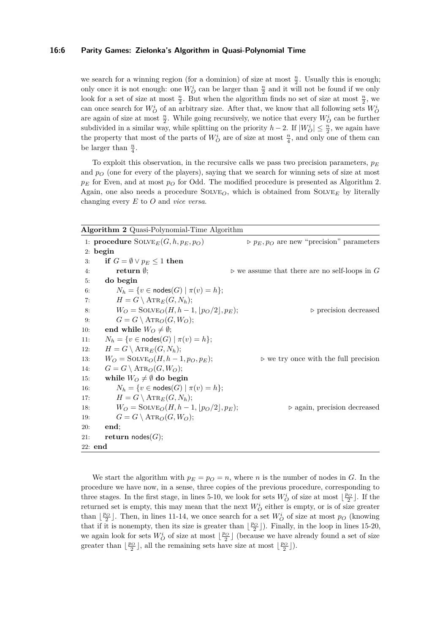## **16:6 Parity Games: Zielonka's Algorithm in Quasi-Polynomial Time**

we search for a winning region (for a dominion) of size at most  $\frac{n}{2}$ . Usually this is enough; only once it is not enough: one  $W_O^i$  can be larger than  $\frac{n}{2}$  and it will not be found if we only look for a set of size at most  $\frac{n}{2}$ . But when the algorithm finds no set of size at most  $\frac{n}{2}$ , we can once search for  $W_O^i$  of an arbitrary size. After that, we know that all following sets  $W_O^i$ are again of size at most  $\frac{n}{2}$ . While going recursively, we notice that every  $W_O^i$  can be further subdivided in a similar way, while splitting on the priority  $h-2$ . If  $|W_O^i| \leq \frac{n}{2}$ , we again have the property that most of the parts of  $W_O^i$  are of size at most  $\frac{n}{4}$ , and only one of them can be larger than  $\frac{n}{4}$ .

To exploit this observation, in the recursive calls we pass two precision parameters,  $p_E$ and  $p<sub>O</sub>$  (one for every of the players), saying that we search for winning sets of size at most *p<sup>E</sup>* for Even, and at most *p<sup>O</sup>* for Odd. The modified procedure is presented as Algorithm [2.](#page-5-0) Again, one also needs a procedure Solve*O*, which is obtained from Solve*<sup>E</sup>* by literally changing every *E* to *O* and *vice versa*.

<span id="page-5-0"></span>

|  |  |  | Algorithm 2 Quasi-Polynomial-Time Algorithm |  |
|--|--|--|---------------------------------------------|--|
|--|--|--|---------------------------------------------|--|

|     | 1: procedure $\text{SOLVE}_E(G, h, p_E, p_O)$      | $\rhd p_E, p_O$ are new "precision" parameters               |
|-----|----------------------------------------------------|--------------------------------------------------------------|
|     | $2:$ begin                                         |                                                              |
| 3:  | if $G = \emptyset \vee p_E \leq 1$ then            |                                                              |
| 4:  | return $\emptyset$ ;                               | $\triangleright$ we assume that there are no self-loops in G |
| 5:  | do begin                                           |                                                              |
| 6:  | $N_h = \{v \in \text{nodes}(G) \mid \pi(v) = h\};$ |                                                              |
| 7:  | $H = G \setminus \text{ATR}_E(G, N_h);$            |                                                              |
| 8:  | $W_O = \text{SOLVE}_O(H, h-1,  p_O/2 , p_E);$      | $\triangleright$ precision decreased                         |
| 9:  | $G = G \setminus \text{ATR}_O(G, W_O);$            |                                                              |
| 10: | end while $W_O \neq \emptyset$ ;                   |                                                              |
| 11: | $N_h = \{v \in \text{nodes}(G) \mid \pi(v) = h\};$ |                                                              |
| 12: | $H = G \setminus \text{ATR}_E(G, N_h);$            |                                                              |
| 13: | $W_O = \text{SOLVE}_O(H, h-1, p_O, p_E);$          | $\triangleright$ we try once with the full precision         |
| 14: | $G = G \setminus \text{ATR}_O(G, W_O);$            |                                                              |
| 15: | while $W_O \neq \emptyset$ do begin                |                                                              |
| 16: | $N_h = \{v \in \text{nodes}(G) \mid \pi(v) = h\};$ |                                                              |
| 17: | $H = G \setminus \text{ATR}_E(G, N_h);$            |                                                              |
| 18: | $W_O = \text{SOLVE}_O(H, h-1,  p_O/2 , p_E);$      | $\triangleright$ again, precision decreased                  |
| 19: | $G = G \setminus \text{ATR}_O(G, W_O);$            |                                                              |
| 20: | end;                                               |                                                              |
| 21: | return nodes $(G);$                                |                                                              |
|     | $22:$ end                                          |                                                              |

We start the algorithm with  $p_E = p_O = n$ , where *n* is the number of nodes in *G*. In the procedure we have now, in a sense, three copies of the previous procedure, corresponding to three stages. In the first stage, in lines 5-10, we look for sets  $W_O^i$  of size at most  $\lfloor \frac{p_O}{2} \rfloor$ . If the returned set is empty, this may mean that the next  $W_O^i$  either is empty, or is of size greater than  $\lfloor \frac{p_O}{2} \rfloor$ . Then, in lines 11-14, we once search for a set  $W_O^i$  of size at most  $p_O$  (knowing that if it is nonempty, then its size is greater than  $\lfloor \frac{p_O}{2} \rfloor$ ). Finally, in the loop in lines 15-20, we again look for sets  $W_O^i$  of size at most  $\lfloor \frac{p_O}{2} \rfloor$  (because we have already found a set of size greater than  $\lfloor \frac{p_O}{2} \rfloor$ , all the remaining sets have size at most  $\lfloor \frac{p_O}{2} \rfloor$ ).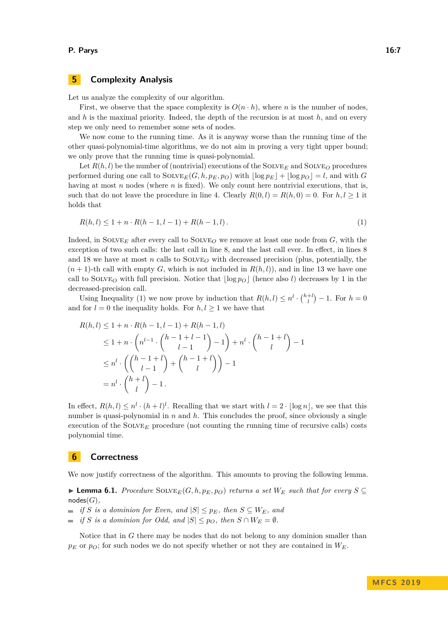#### **P. Parys 16:7**

## **5 Complexity Analysis**

Let us analyze the complexity of our algorithm.

First, we observe that the space complexity is  $O(n \cdot h)$ , where *n* is the number of nodes. and *h* is the maximal priority. Indeed, the depth of the recursion is at most *h*, and on every step we only need to remember some sets of nodes.

We now come to the running time. As it is anyway worse than the running time of the other quasi-polynomial-time algorithms, we do not aim in proving a very tight upper bound; we only prove that the running time is quasi-polynomial.

Let  $R(h, l)$  be the number of (nontrivial) executions of the SOLVE<sub>*E*</sub> and SOLVE<sub>*O*</sub> procedures performed during one call to  $\text{SOLVE}_E(G, h, p_E, p_O)$  with  $\lfloor \log p_E \rfloor + \lfloor \log p_O \rfloor = l$ , and with *G* having at most *n* nodes (where *n* is fixed). We only count here nontrivial executions, that is, such that do not leave the procedure in line 4. Clearly  $R(0, l) = R(h, 0) = 0$ . For  $h, l \geq 1$  it holds that

<span id="page-6-0"></span>
$$
R(h, l) \le 1 + n \cdot R(h - 1, l - 1) + R(h - 1, l). \tag{1}
$$

Indeed, in SOLVE<sub>E</sub> after every call to SOLVE<sub>Q</sub> we remove at least one node from  $G$ , with the exception of two such calls: the last call in line 8, and the last call ever. In effect, in lines 8 and 18 we have at most *n* calls to  $SOLVE<sub>O</sub>$  with decreased precision (plus, potentially, the  $(n+1)$ -th call with empty *G*, which is not included in  $R(h, l)$ , and in line 13 we have one call to SOLVE<sub>O</sub> with full precision. Notice that  $\log p$ <sup>*O*</sup> (hence also *l*) decreases by 1 in the decreased-precision call.

Using Inequality [\(1\)](#page-6-0) we now prove by induction that  $R(h, l) \leq n^l \cdot {h+l \choose l} - 1$ . For  $h = 0$ and for  $l = 0$  the inequality holds. For  $h, l \geq 1$  we have that

$$
R(h, l) \le 1 + n \cdot R(h - 1, l - 1) + R(h - 1, l)
$$
  
\n
$$
\le 1 + n \cdot \binom{n^{l-1} \cdot \binom{h - 1 + l - 1}{l - 1} - 1} + n^l \cdot \binom{h - 1 + l}{l} - 1
$$
  
\n
$$
\le n^l \cdot \binom{h - 1 + l}{l - 1} + \binom{h - 1 + l}{l} - 1
$$
  
\n
$$
= n^l \cdot \binom{h + l}{l} - 1.
$$

In effect,  $R(h, l) \leq n^l \cdot (h + l)^l$ . Recalling that we start with  $l = 2 \cdot \lfloor \log n \rfloor$ , we see that this number is quasi-polynomial in *n* and *h*. This concludes the proof, since obviously a single execution of the SOLVE<sub>*E*</sub> procedure (not counting the running time of recursive calls) costs polynomial time.

## **6 Correctness**

We now justify correctness of the algorithm. This amounts to proving the following lemma.

<span id="page-6-1"></span>▶ **Lemma 6.1.** *Procedure* SOLVE<sub>*E*</sub>(*G*, *h*, *p<sub>E</sub>*, *p*<sub>*O*</sub>) *returns a set*  $W_E$  *such that for every*  $S \subseteq$ nodes(*G*)*,*

 $\blacksquare$  *if S is a dominion for Even, and*  $|S| ≤ p_E$ *, then*  $S ⊆ W_E$ *, and* 

*if S is a dominion for Odd, and*  $|S| \leq p_O$ *, then*  $S \cap W_E = \emptyset$ *.*  $\mathcal{L}_{\mathcal{A}}$ 

Notice that in *G* there may be nodes that do not belong to any dominion smaller than  $p_E$  or  $p_O$ ; for such nodes we do not specify whether or not they are contained in  $W_E$ .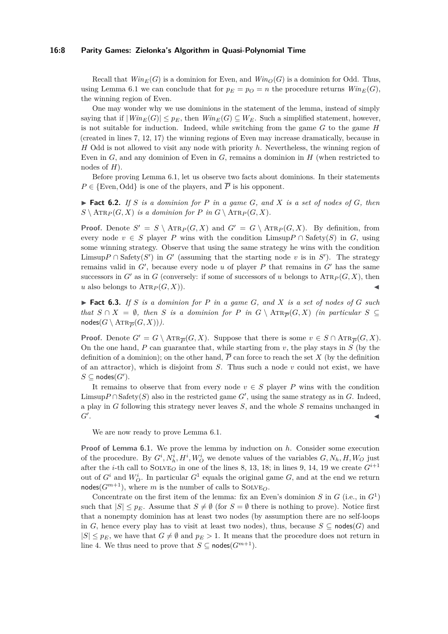#### **16:8 Parity Games: Zielonka's Algorithm in Quasi-Polynomial Time**

Recall that  $Win_E(G)$  is a dominion for Even, and  $Win_O(G)$  is a dominion for Odd. Thus, using Lemma [6.1](#page-6-1) we can conclude that for  $p_E = p_O = n$  the procedure returns  $Win_E(G)$ , the winning region of Even.

One may wonder why we use dominions in the statement of the lemma, instead of simply saying that if  $|Win_E(G)| \leq p_E$ , then  $Win_E(G) \subseteq W_E$ . Such a simplified statement, however, is not suitable for induction. Indeed, while switching from the game *G* to the game *H* (created in lines 7, 12, 17) the winning regions of Even may increase dramatically, because in *H* Odd is not allowed to visit any node with priority *h*. Nevertheless, the winning region of Even in *G*, and any dominion of Even in *G*, remains a dominion in *H* (when restricted to nodes of *H*).

Before proving Lemma [6.1,](#page-6-1) let us observe two facts about dominions. In their statements  $P \in \{Even, Odd\}$  is one of the players, and  $\overline{P}$  is his opponent.

<span id="page-7-0"></span> $\blacktriangleright$  **Fact 6.2.** *If S is a dominion for P in a game G, and X is a set of nodes of G, then*  $S \setminus \text{ATR}_P(G, X)$  *is a dominion for*  $P$  *in*  $G \setminus \text{ATR}_P(G, X)$ *.* 

**Proof.** Denote  $S' = S \setminus \text{ATR}_P(G, X)$  and  $G' = G \setminus \text{ATR}_P(G, X)$ . By definition, from every node  $v \in S$  player *P* wins with the condition Limsup  $P \cap$  Safety(*S*) in *G*, using some winning strategy. Observe that using the same strategy he wins with the condition Limsup<sup>*P*</sup> ∩ Safety(*S*<sup> $\prime$ </sup>) in *G*<sup> $\prime$ </sup> (assuming that the starting node *v* is in *S*<sup> $\prime$ </sup>). The strategy remains valid in  $G'$ , because every node  $u$  of player  $P$  that remains in  $G'$  has the same successors in *G*<sup> $\prime$ </sup> as in *G* (conversely: if some of successors of *u* belongs to ATR<sub>*P*</sub> (*G, X*), then *u* also belongs to  $\text{ATR}_P(G, X)$ .

<span id="page-7-1"></span> $\blacktriangleright$  **Fact 6.3.** *If S is a dominion for P in a game G, and X is a set of nodes of G such that*  $S \cap X = \emptyset$ , then *S is a dominion for P in*  $G \setminus \text{ATR}_{\overline{P}}(G, X)$  *(in particular*  $S \subseteq$  $\mathsf{nodes}(G \setminus \mathrm{ATR}_{\overline{P}}(G,X))).$ 

**Proof.** Denote  $G' = G \setminus \text{ATR}_{\overline{P}}(G, X)$ . Suppose that there is some  $v \in S \cap \text{ATR}_{\overline{P}}(G, X)$ . On the one hand, *P* can guarantee that, while starting from *v*, the play stays in *S* (by the definition of a dominion); on the other hand,  $\overline{P}$  can force to reach the set *X* (by the definition of an attractor), which is disjoint from *S*. Thus such a node *v* could not exist, we have  $S \subseteq \mathsf{nodes}(G')$ .

It remains to observe that from every node  $v \in S$  player *P* wins with the condition Limsup $P \cap S$ afety(*S*) also in the restricted game  $G'$ , using the same strategy as in *G*. Indeed, a play in *G* following this strategy never leaves *S*, and the whole *S* remains unchanged in  $G'$ . . Jan 1980. aastal ja kuningas kaupungi kalendari kaupungi kaupungi kaupungi kaupungi kaupungi kaupungi kalend<br>Jan 1980. aastal ja kuningas kaupungi kaupungi kaupungi kaupungi kaupungi kaupungi kaupungi kaupungi kaupungi

We are now ready to prove Lemma [6.1.](#page-6-1)

**Proof of Lemma [6.1.](#page-6-1)** We prove the lemma by induction on *h*. Consider some execution of the procedure. By  $G^i$ ,  $N_h^i$ ,  $H^i$ ,  $W_O^i$  we denote values of the variables  $G, N_h, H, W_O$  just after the *i*-th call to SOLVE<sub>O</sub> in one of the lines 8, 13, 18; in lines 9, 14, 19 we create  $G^{i+1}$ out of  $G^i$  and  $W^i_O$ . In particular  $G^1$  equals the original game  $G$ , and at the end we return nodes( $G^{m+1}$ ), where *m* is the number of calls to SOLVE<sub>O</sub>.

Concentrate on the first item of the lemma: fix an Even's dominion  $S$  in  $G$  (i.e., in  $G^1$ ) such that  $|S| \leq p_E$ . Assume that  $S \neq \emptyset$  (for  $S = \emptyset$  there is nothing to prove). Notice first that a nonempty dominion has at least two nodes (by assumption there are no self-loops in *G*, hence every play has to visit at least two nodes), thus, because  $S \subseteq \text{nodes}(G)$  and  $|S| \leq p_E$ , we have that  $G \neq \emptyset$  and  $p_E > 1$ . It means that the procedure does not return in line 4. We thus need to prove that  $S \subseteq \text{nodes}(G^{m+1})$ .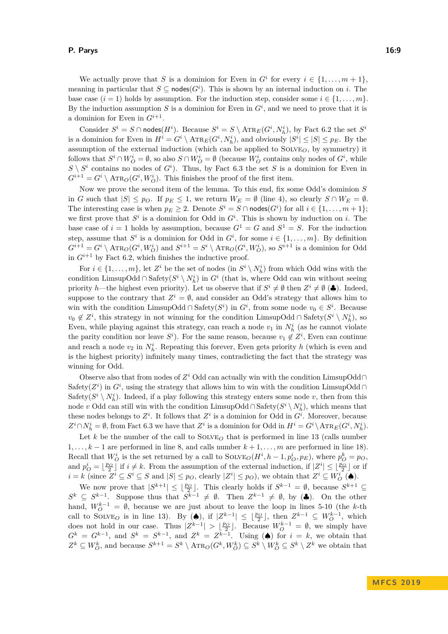#### **P. Parys 16:9**

We actually prove that *S* is a dominion for Even in  $G^i$  for every  $i \in \{1, \ldots, m+1\}$ , meaning in particular that  $S \subseteq \text{nodes}(G^i)$ . This is shown by an internal induction on *i*. The base case  $(i = 1)$  holds by assumption. For the induction step, consider some  $i \in \{1, \ldots, m\}$ . By the induction assumption  $S$  is a dominion for Even in  $G^i$ , and we need to prove that it is a dominion for Even in  $G^{i+1}$ .

Consider  $S^i = S \cap \text{nodes}(H^i)$ . Because  $S^i = S \setminus \text{ATR}_E(G^i, N_h^i)$ , by Fact [6.2](#page-7-0) the set  $S^i$ is a dominion for Even in  $H^i = G^i \setminus \text{ATR}_E(G^i, N_h^i)$ , and obviously  $|S^i| \leq |S| \leq p_E$ . By the assumption of the external induction (which can be applied to  $SOLVE_O$ , by symmetry) it follows that  $S^i \cap W_O^i = \emptyset$ , so also  $S \cap W_O^i = \emptyset$  (because  $W_O^i$  contains only nodes of  $G^i$ , while  $S \setminus S^i$  contains no nodes of  $G^i$ ). Thus, by Fact [6.3](#page-7-1) the set *S* is a dominion for Even in  $G^{i+1} = G^i \setminus \text{ATR}_O(G^i, W_O^i)$ . This finishes the proof of the first item.

Now we prove the second item of the lemma. To this end, fix some Odd's dominion *S* in *G* such that  $|S| \leq p_O$ . If  $p_E \leq 1$ , we return  $W_E = \emptyset$  (line 4), so clearly  $S \cap W_E = \emptyset$ . The interesting case is when  $p_E \geq 2$ . Denote  $S^i = S \cap \text{nodes}(G^i)$  for all  $i \in \{1, ..., m + 1\}$ ; we first prove that  $S^i$  is a dominion for Odd in  $G^i$ . This is shown by induction on *i*. The base case of  $i = 1$  holds by assumption, because  $G^1 = G$  and  $S^1 = S$ . For the induction step, assume that  $S^i$  is a dominion for Odd in  $G^i$ , for some  $i \in \{1, \ldots, m\}$ . By definition  $G^{i+1} = G^i \setminus \text{ATR}_O(G^i, W_O^i)$  and  $S^{i+1} = S^i \setminus \text{ATR}_O(G^i, W_O^i)$ , so  $S^{i+1}$  is a dominion for Odd in  $G^{i+1}$  by Fact [6.2,](#page-7-0) which finishes the inductive proof.

For  $i \in \{1, \ldots, m\}$ , let  $Z^i$  be the set of nodes (in  $S^i \setminus N_h^i$ ) from which Odd wins with the condition LimsupOdd ∩ Safety $(S^i \setminus N_h^i)$  in  $G^i$  (that is, where Odd can win without seeing priority *h*—the highest even priority). Let us observe that if  $S^i \neq \emptyset$  then  $Z^i \neq \emptyset$  ( $\clubsuit$ ). Indeed, suppose to the contrary that  $Z^i = \emptyset$ , and consider an Odd's strategy that allows him to win with the condition LimsupOdd ∩ Safety $(S<sup>i</sup>)$  in  $G<sup>i</sup>$ , from some node  $v<sub>0</sub> ∈ S<sup>i</sup>$ . Because  $v_0 \notin Z^i$ , this strategy in not winning for the condition LimsupOdd ∩ Safety $(S^i \setminus N_h^i)$ , so Even, while playing against this strategy, can reach a node  $v_1$  in  $N_h^i$  (as he cannot violate the parity condition nor leave  $S^i$ ). For the same reason, because  $v_1 \notin Z^i$ , Even can continue and reach a node  $v_2$  in  $N_h^i$ . Repeating this forever, Even gets priority *h* (which is even and is the highest priority) infinitely many times, contradicting the fact that the strategy was winning for Odd.

Observe also that from nodes of  $Z^i$  Odd can actually win with the condition LimsupOdd∩ Safety( $Z<sup>i</sup>$ ) in  $G<sup>i</sup>$ , using the strategy that allows him to win with the condition LimsupOdd ∩ Safety( $S^i \setminus N_h^i$ ). Indeed, if a play following this strategy enters some node *v*, then from this node *v* Odd can still win with the condition LimsupOdd ∩Safety $(S<sup>i</sup> \ N<sup>i</sup><sub>h</sub>)$ , which means that these nodes belongs to  $Z^i$ . It follows that  $Z^i$  is a dominion for Odd in  $G^i$ . Moreover, because  $Z^i \cap N_h^i = \emptyset$ , from Fact [6.3](#page-7-1) we have that  $Z^i$  is a dominion for Odd in  $H^i = G^i \setminus \text{ATR}_E(G^i, N_h^i)$ .

Let k be the number of the call to  $SOLVE<sub>O</sub>$  that is performed in line 13 (calls number 1*, . . . , k* − 1 are performed in line 8, and calls number *k* + 1*, . . . , m* are performed in line 18). Recall that  $W_O^i$  is the set returned by a call to  $\text{SOLVE}_O(H^i, h-1, p_O^i, p_E)$ , where  $p_O^k = p_O$ , and  $p_O^i = \lfloor \frac{p_O}{2} \rfloor$  if  $i \neq k$ . From the assumption of the external induction, if  $|Z^i| \leq \lfloor \frac{p_O}{2} \rfloor$  or if  $i = k$  (since  $Z^i \subseteq S^i \subseteq S$  and  $|S| \leq p_O$ , clearly  $|Z^i| \leq p_O$ ), we obtain that  $Z^i \subseteq W_O^i$  ( $\spadesuit$ ).

We now prove that  $|S^{k+1}| \leq \lfloor \frac{p_O}{2} \rfloor$ . This clearly holds if  $S^{k-1} = \emptyset$ , because  $S^{k+1} \subseteq$  $S^k \subseteq S^{k-1}$ . Suppose thus that  $S^{k-1} \neq \emptyset$ . Then  $Z^{k-1} \neq \emptyset$ , by ( $\clubsuit$ ). On the other hand,  $W_O^{k-1} = \emptyset$ , because we are just about to leave the loop in lines 5-10 (the *k*-th call to SOLVE<sub>*O*</sub> is in line 13). By ( $\bullet$ ), if  $|Z^{k-1}| \leq \lfloor \frac{p_0}{2} \rfloor$ , then  $Z^{k-1} \subseteq W_O^{k-1}$ , which does not hold in our case. Thus  $|Z^{k-1}| > \lfloor \frac{p_O}{2} \rfloor$ . Because  $W_O^{k-1} = \emptyset$ , we simply have  $G^k = G^{k-1}$ , and  $S^k = S^{k-1}$ , and  $Z^k = Z^{k-1}$ . Using ( $\spadesuit$ ) for  $i = k$ , we obtain that  $Z^k \subseteq W_O^k$ , and because  $S^{k+1} = S^k \setminus \text{ATR}_O(G^k, W_O^k) \subseteq S^k \setminus W_O^k \subseteq S^k \setminus Z^k$  we obtain that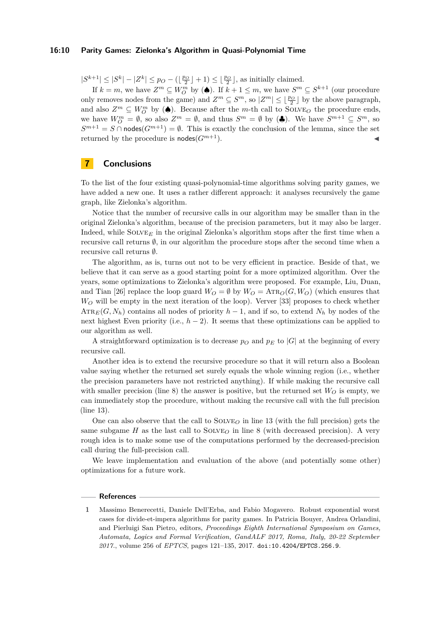#### **16:10 Parity Games: Zielonka's Algorithm in Quasi-Polynomial Time**

 $|S^{k+1}| \leq |S^k| - |Z^k| \leq p_O - (\lfloor \frac{p_O}{2} \rfloor + 1) \leq \lfloor \frac{p_O}{2} \rfloor$ , as initially claimed.

If  $k = m$ , we have  $Z^m \subseteq W_O^m$  by ( $\spadesuit$ ). If  $k + 1 \leq m$ , we have  $S^m \subseteq S^{k+1}$  (our procedure only removes nodes from the game) and  $Z^m \subseteq S^m$ , so  $|Z^m| \leq \lfloor \frac{p_O}{2} \rfloor$  by the above paragraph, and also  $Z^m \subseteq W_O^m$  by ( $\spadesuit$ ). Because after the *m*-th call to SOLVE<sub>O</sub> the procedure ends, we have  $W_O^m = \emptyset$ , so also  $Z^m = \emptyset$ , and thus  $S^m = \emptyset$  by  $(\clubsuit)$ . We have  $S^{m+1} \subseteq S^m$ , so  $S^{m+1} = S \cap \text{nodes}(G^{m+1}) = \emptyset$ . This is exactly the conclusion of the lemma, since the set returned by the procedure is  $\mathsf{nodes}(G^{m+1})$ .

## **7 Conclusions**

To the list of the four existing quasi-polynomial-time algorithms solving parity games, we have added a new one. It uses a rather different approach: it analyses recursively the game graph, like Zielonka's algorithm.

Notice that the number of recursive calls in our algorithm may be smaller than in the original Zielonka's algorithm, because of the precision parameters, but it may also be larger. Indeed, while  $\text{SOLVE}_E$  in the original Zielonka's algorithm stops after the first time when a recursive call returns  $\emptyset$ , in our algorithm the procedure stops after the second time when a recursive call returns ∅.

The algorithm, as is, turns out not to be very efficient in practice. Beside of that, we believe that it can serve as a good starting point for a more optimized algorithm. Over the years, some optimizations to Zielonka's algorithm were proposed. For example, Liu, Duan, and Tian [\[26\]](#page-11-16) replace the loop guard  $W_O = \emptyset$  by  $W_O = \text{ATR}_O(G, W_O)$  (which ensures that *W<sup>O</sup>* will be empty in the next iteration of the loop). Verver [\[33\]](#page-12-4) proposes to check whether  $\text{ATR}_E(G, N_h)$  contains all nodes of priority  $h-1$ , and if so, to extend  $N_h$  by nodes of the next highest Even priority (i.e., *h* − 2). It seems that these optimizations can be applied to our algorithm as well.

A straightforward optimization is to decrease  $p<sub>O</sub>$  and  $p<sub>E</sub>$  to  $|G|$  at the beginning of every recursive call.

Another idea is to extend the recursive procedure so that it will return also a Boolean value saying whether the returned set surely equals the whole winning region (i.e., whether the precision parameters have not restricted anything). If while making the recursive call with smaller precision (line 8) the answer is positive, but the returned set  $W_O$  is empty, we can immediately stop the procedure, without making the recursive call with the full precision (line 13).

One can also observe that the call to  $SOLVE<sub>O</sub>$  in line 13 (with the full precision) gets the same subgame *H* as the last call to SOLVE<sub>Q</sub> in line 8 (with decreased precision). A very rough idea is to make some use of the computations performed by the decreased-precision call during the full-precision call.

We leave implementation and evaluation of the above (and potentially some other) optimizations for a future work.

#### **References**

<span id="page-9-0"></span>**<sup>1</sup>** Massimo Benerecetti, Daniele Dell'Erba, and Fabio Mogavero. Robust exponential worst cases for divide-et-impera algorithms for parity games. In Patricia Bouyer, Andrea Orlandini, and Pierluigi San Pietro, editors, *Proceedings Eighth International Symposium on Games, Automata, Logics and Formal Verification, GandALF 2017, Roma, Italy, 20-22 September 2017.*, volume 256 of *EPTCS*, pages 121–135, 2017. [doi:10.4204/EPTCS.256.9](http://dx.doi.org/10.4204/EPTCS.256.9).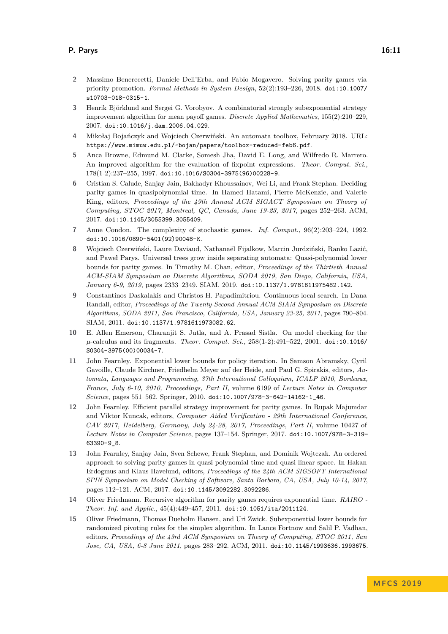- <span id="page-10-7"></span>**2** Massimo Benerecetti, Daniele Dell'Erba, and Fabio Mogavero. Solving parity games via priority promotion. *Formal Methods in System Design*, 52(2):193–226, 2018. [doi:10.1007/](http://dx.doi.org/10.1007/s10703-018-0315-1) [s10703-018-0315-1](http://dx.doi.org/10.1007/s10703-018-0315-1).
- <span id="page-10-8"></span>**3** Henrik Björklund and Sergei G. Vorobyov. A combinatorial strongly subexponential strategy improvement algorithm for mean payoff games. *Discrete Applied Mathematics*, 155(2):210–229, 2007. [doi:10.1016/j.dam.2006.04.029](http://dx.doi.org/10.1016/j.dam.2006.04.029).
- <span id="page-10-11"></span>**4** Mikołaj Bojańczyk and Wojciech Czerwiński. An automata toolbox, February 2018. URL: <https://www.mimuw.edu.pl/~bojan/papers/toolbox-reduced-feb6.pdf>.
- <span id="page-10-6"></span>**5** Anca Browne, Edmund M. Clarke, Somesh Jha, David E. Long, and Wilfredo R. Marrero. An improved algorithm for the evaluation of fixpoint expressions. *Theor. Comput. Sci.*, 178(1-2):237–255, 1997. [doi:10.1016/S0304-3975\(96\)00228-9](http://dx.doi.org/10.1016/S0304-3975(96)00228-9).
- <span id="page-10-9"></span>**6** Cristian S. Calude, Sanjay Jain, Bakhadyr Khoussainov, Wei Li, and Frank Stephan. Deciding parity games in quasipolynomial time. In Hamed Hatami, Pierre McKenzie, and Valerie King, editors, *Proceedings of the 49th Annual ACM SIGACT Symposium on Theory of Computing, STOC 2017, Montreal, QC, Canada, June 19-23, 2017*, pages 252–263. ACM, 2017. [doi:10.1145/3055399.3055409](http://dx.doi.org/10.1145/3055399.3055409).
- <span id="page-10-4"></span>**7** Anne Condon. The complexity of stochastic games. *Inf. Comput.*, 96(2):203–224, 1992. [doi:10.1016/0890-5401\(92\)90048-K](http://dx.doi.org/10.1016/0890-5401(92)90048-K).
- <span id="page-10-12"></span>**8** Wojciech Czerwiński, Laure Daviaud, Nathanaël Fijalkow, Marcin Jurdziński, Ranko Lazić, and Paweł Parys. Universal trees grow inside separating automata: Quasi-polynomial lower bounds for parity games. In Timothy M. Chan, editor, *Proceedings of the Thirtieth Annual ACM-SIAM Symposium on Discrete Algorithms, SODA 2019, San Diego, California, USA, January 6-9, 2019*, pages 2333–2349. SIAM, 2019. [doi:10.1137/1.9781611975482.142](http://dx.doi.org/10.1137/1.9781611975482.142).
- <span id="page-10-3"></span>**9** Constantinos Daskalakis and Christos H. Papadimitriou. Continuous local search. In Dana Randall, editor, *Proceedings of the Twenty-Second Annual ACM-SIAM Symposium on Discrete Algorithms, SODA 2011, San Francisco, California, USA, January 23-25, 2011*, pages 790–804. SIAM, 2011. [doi:10.1137/1.9781611973082.62](http://dx.doi.org/10.1137/1.9781611973082.62).
- <span id="page-10-0"></span>**10** E. Allen Emerson, Charanjit S. Jutla, and A. Prasad Sistla. On model checking for the *µ*-calculus and its fragments. *Theor. Comput. Sci.*, 258(1-2):491–522, 2001. [doi:10.1016/](http://dx.doi.org/10.1016/S0304-3975(00)00034-7) [S0304-3975\(00\)00034-7](http://dx.doi.org/10.1016/S0304-3975(00)00034-7).
- <span id="page-10-1"></span>**11** John Fearnley. Exponential lower bounds for policy iteration. In Samson Abramsky, Cyril Gavoille, Claude Kirchner, Friedhelm Meyer auf der Heide, and Paul G. Spirakis, editors, *Automata, Languages and Programming, 37th International Colloquium, ICALP 2010, Bordeaux, France, July 6-10, 2010, Proceedings, Part II*, volume 6199 of *Lecture Notes in Computer Science*, pages 551–562. Springer, 2010. [doi:10.1007/978-3-642-14162-1\\_46](http://dx.doi.org/10.1007/978-3-642-14162-1_46).
- <span id="page-10-13"></span>**12** John Fearnley. Efficient parallel strategy improvement for parity games. In Rupak Majumdar and Viktor Kuncak, editors, *Computer Aided Verification - 29th International Conference, CAV 2017, Heidelberg, Germany, July 24-28, 2017, Proceedings, Part II*, volume 10427 of *Lecture Notes in Computer Science*, pages 137–154. Springer, 2017. [doi:10.1007/978-3-319-](http://dx.doi.org/10.1007/978-3-319-63390-9_8) [63390-9\\_8](http://dx.doi.org/10.1007/978-3-319-63390-9_8).
- <span id="page-10-10"></span>**13** John Fearnley, Sanjay Jain, Sven Schewe, Frank Stephan, and Dominik Wojtczak. An ordered approach to solving parity games in quasi polynomial time and quasi linear space. In Hakan Erdogmus and Klaus Havelund, editors, *Proceedings of the 24th ACM SIGSOFT International SPIN Symposium on Model Checking of Software, Santa Barbara, CA, USA, July 10-14, 2017*, pages 112–121. ACM, 2017. [doi:10.1145/3092282.3092286](http://dx.doi.org/10.1145/3092282.3092286).
- <span id="page-10-5"></span>**14** Oliver Friedmann. Recursive algorithm for parity games requires exponential time. *RAIRO - Theor. Inf. and Applic.*, 45(4):449–457, 2011. [doi:10.1051/ita/2011124](http://dx.doi.org/10.1051/ita/2011124).
- <span id="page-10-2"></span>**15** Oliver Friedmann, Thomas Dueholm Hansen, and Uri Zwick. Subexponential lower bounds for randomized pivoting rules for the simplex algorithm. In Lance Fortnow and Salil P. Vadhan, editors, *Proceedings of the 43rd ACM Symposium on Theory of Computing, STOC 2011, San Jose, CA, USA, 6-8 June 2011*, pages 283–292. ACM, 2011. [doi:10.1145/1993636.1993675](http://dx.doi.org/10.1145/1993636.1993675).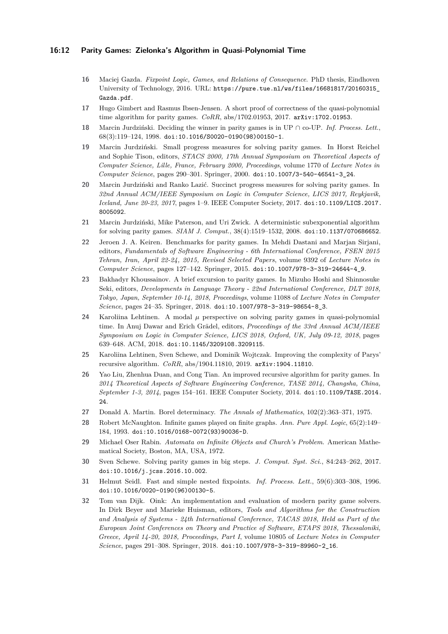#### **16:12 Parity Games: Zielonka's Algorithm in Quasi-Polynomial Time**

- <span id="page-11-3"></span>**16** Maciej Gazda. *Fixpoint Logic, Games, and Relations of Consequence*. PhD thesis, Eindhoven University of Technology, 2016. URL: [https://pure.tue.nl/ws/files/16681817/20160315\\_](https://pure.tue.nl/ws/files/16681817/20160315_Gazda.pdf) [Gazda.pdf](https://pure.tue.nl/ws/files/16681817/20160315_Gazda.pdf).
- <span id="page-11-8"></span>**17** Hugo Gimbert and Rasmus Ibsen-Jensen. A short proof of correctness of the quasi-polynomial time algorithm for parity games. *CoRR*, abs/1702.01953, 2017. [arXiv:1702.01953](http://arxiv.org/abs/1702.01953).
- <span id="page-11-1"></span>**18** Marcin Jurdziński. Deciding the winner in parity games is in UP ∩ co-UP. *Inf. Process. Lett.*, 68(3):119–124, 1998. [doi:10.1016/S0020-0190\(98\)00150-1](http://dx.doi.org/10.1016/S0020-0190(98)00150-1).
- <span id="page-11-5"></span>**19** Marcin Jurdziński. Small progress measures for solving parity games. In Horst Reichel and Sophie Tison, editors, *STACS 2000, 17th Annual Symposium on Theoretical Aspects of Computer Science, Lille, France, February 2000, Proceedings*, volume 1770 of *Lecture Notes in Computer Science*, pages 290–301. Springer, 2000. [doi:10.1007/3-540-46541-3\\_24](http://dx.doi.org/10.1007/3-540-46541-3_24).
- <span id="page-11-10"></span>**20** Marcin Jurdziński and Ranko Lazić. Succinct progress measures for solving parity games. In *32nd Annual ACM/IEEE Symposium on Logic in Computer Science, LICS 2017, Reykjavik, Iceland, June 20-23, 2017*, pages 1–9. IEEE Computer Society, 2017. [doi:10.1109/LICS.2017.](http://dx.doi.org/10.1109/LICS.2017.8005092) [8005092](http://dx.doi.org/10.1109/LICS.2017.8005092).
- <span id="page-11-7"></span>**21** Marcin Jurdziński, Mike Paterson, and Uri Zwick. A deterministic subexponential algorithm for solving parity games. *SIAM J. Comput.*, 38(4):1519–1532, 2008. [doi:10.1137/070686652](http://dx.doi.org/10.1137/070686652).
- <span id="page-11-14"></span>**22** Jeroen J. A. Keiren. Benchmarks for parity games. In Mehdi Dastani and Marjan Sirjani, editors, *Fundamentals of Software Engineering - 6th International Conference, FSEN 2015 Tehran, Iran, April 22-24, 2015, Revised Selected Papers*, volume 9392 of *Lecture Notes in Computer Science*, pages 127–142. Springer, 2015. [doi:10.1007/978-3-319-24644-4\\_9](http://dx.doi.org/10.1007/978-3-319-24644-4_9).
- <span id="page-11-9"></span>**23** Bakhadyr Khoussainov. A brief excursion to parity games. In Mizuho Hoshi and Shinnosuke Seki, editors, *Developments in Language Theory - 22nd International Conference, DLT 2018, Tokyo, Japan, September 10-14, 2018, Proceedings*, volume 11088 of *Lecture Notes in Computer Science*, pages 24–35. Springer, 2018. [doi:10.1007/978-3-319-98654-8\\_3](http://dx.doi.org/10.1007/978-3-319-98654-8_3).
- <span id="page-11-11"></span>24 Karoliina Lehtinen. A modal  $\mu$  perspective on solving parity games in quasi-polynomial time. In Anuj Dawar and Erich Grädel, editors, *Proceedings of the 33rd Annual ACM/IEEE Symposium on Logic in Computer Science, LICS 2018, Oxford, UK, July 09-12, 2018*, pages 639–648. ACM, 2018. [doi:10.1145/3209108.3209115](http://dx.doi.org/10.1145/3209108.3209115).
- <span id="page-11-12"></span>**25** Karoliina Lehtinen, Sven Schewe, and Dominik Wojtczak. Improving the complexity of Parys' recursive algorithm. *CoRR*, abs/1904.11810, 2019. [arXiv:1904.11810](http://arxiv.org/abs/1904.11810).
- <span id="page-11-16"></span>**26** Yao Liu, Zhenhua Duan, and Cong Tian. An improved recursive algorithm for parity games. In *2014 Theoretical Aspects of Software Engineering Conference, TASE 2014, Changsha, China, September 1-3, 2014*, pages 154–161. IEEE Computer Society, 2014. [doi:10.1109/TASE.2014.](http://dx.doi.org/10.1109/TASE.2014.24) [24](http://dx.doi.org/10.1109/TASE.2014.24)
- <span id="page-11-15"></span>**27** Donald A. Martin. Borel determinacy. *The Annals of Mathematics*, 102(2):363–371, 1975.
- <span id="page-11-2"></span>**28** Robert McNaughton. Infinite games played on finite graphs. *Ann. Pure Appl. Logic*, 65(2):149– 184, 1993. [doi:10.1016/0168-0072\(93\)90036-D](http://dx.doi.org/10.1016/0168-0072(93)90036-D).
- <span id="page-11-0"></span>**29** Michael Oser Rabin. *Automata on Infinite Objects and Church's Problem*. American Mathematical Society, Boston, MA, USA, 1972.
- <span id="page-11-6"></span>**30** Sven Schewe. Solving parity games in big steps. *J. Comput. Syst. Sci.*, 84:243–262, 2017. [doi:10.1016/j.jcss.2016.10.002](http://dx.doi.org/10.1016/j.jcss.2016.10.002).
- <span id="page-11-4"></span>**31** Helmut Seidl. Fast and simple nested fixpoints. *Inf. Process. Lett.*, 59(6):303–308, 1996. [doi:10.1016/0020-0190\(96\)00130-5](http://dx.doi.org/10.1016/0020-0190(96)00130-5).
- <span id="page-11-13"></span>**32** Tom van Dijk. Oink: An implementation and evaluation of modern parity game solvers. In Dirk Beyer and Marieke Huisman, editors, *Tools and Algorithms for the Construction and Analysis of Systems - 24th International Conference, TACAS 2018, Held as Part of the European Joint Conferences on Theory and Practice of Software, ETAPS 2018, Thessaloniki, Greece, April 14-20, 2018, Proceedings, Part I*, volume 10805 of *Lecture Notes in Computer Science*, pages 291–308. Springer, 2018. [doi:10.1007/978-3-319-89960-2\\_16](http://dx.doi.org/10.1007/978-3-319-89960-2_16).